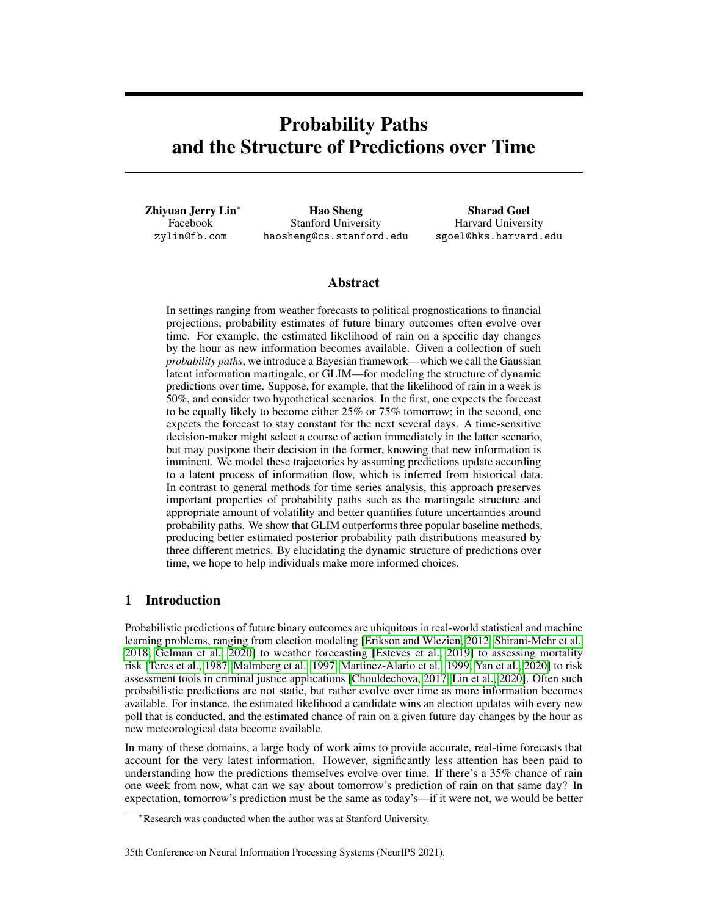# Probability Paths and the Structure of Predictions over Time

Zhiyuan Jerry Lin<sup>∗</sup> Facebook zylin@fb.com

Hao Sheng Stanford University haosheng@cs.stanford.edu

Sharad Goel Harvard University sgoel@hks.harvard.edu

# Abstract

In settings ranging from weather forecasts to political prognostications to financial projections, probability estimates of future binary outcomes often evolve over time. For example, the estimated likelihood of rain on a specific day changes by the hour as new information becomes available. Given a collection of such *probability paths*, we introduce a Bayesian framework—which we call the Gaussian latent information martingale, or GLIM—for modeling the structure of dynamic predictions over time. Suppose, for example, that the likelihood of rain in a week is 50%, and consider two hypothetical scenarios. In the first, one expects the forecast to be equally likely to become either 25% or 75% tomorrow; in the second, one expects the forecast to stay constant for the next several days. A time-sensitive decision-maker might select a course of action immediately in the latter scenario, but may postpone their decision in the former, knowing that new information is imminent. We model these trajectories by assuming predictions update according to a latent process of information flow, which is inferred from historical data. In contrast to general methods for time series analysis, this approach preserves important properties of probability paths such as the martingale structure and appropriate amount of volatility and better quantifies future uncertainties around probability paths. We show that GLIM outperforms three popular baseline methods, producing better estimated posterior probability path distributions measured by three different metrics. By elucidating the dynamic structure of predictions over time, we hope to help individuals make more informed choices.

# 1 Introduction

Probabilistic predictions of future binary outcomes are ubiquitous in real-world statistical and machine learning problems, ranging from election modeling [\[Erikson and Wlezien, 2012,](#page-10-0) [Shirani-Mehr et al.,](#page-11-0) [2018,](#page-11-0) [Gelman et al., 2020\]](#page-11-1) to weather forecasting [\[Esteves et al., 2019\]](#page-10-1) to assessing mortality risk [\[Teres et al., 1987,](#page-12-0) [Malmberg et al., 1997,](#page-11-2) [Martinez-Alario et al., 1999,](#page-11-3) [Yan et al., 2020\]](#page-12-1) to risk assessment tools in criminal justice applications [\[Chouldechova, 2017,](#page-10-2) [Lin et al., 2020\]](#page-11-4). Often such probabilistic predictions are not static, but rather evolve over time as more information becomes available. For instance, the estimated likelihood a candidate wins an election updates with every new poll that is conducted, and the estimated chance of rain on a given future day changes by the hour as new meteorological data become available.

In many of these domains, a large body of work aims to provide accurate, real-time forecasts that account for the very latest information. However, significantly less attention has been paid to understanding how the predictions themselves evolve over time. If there's a 35% chance of rain one week from now, what can we say about tomorrow's prediction of rain on that same day? In expectation, tomorrow's prediction must be the same as today's—if it were not, we would be better

#### 35th Conference on Neural Information Processing Systems (NeurIPS 2021).

<sup>∗</sup>Research was conducted when the author was at Stanford University.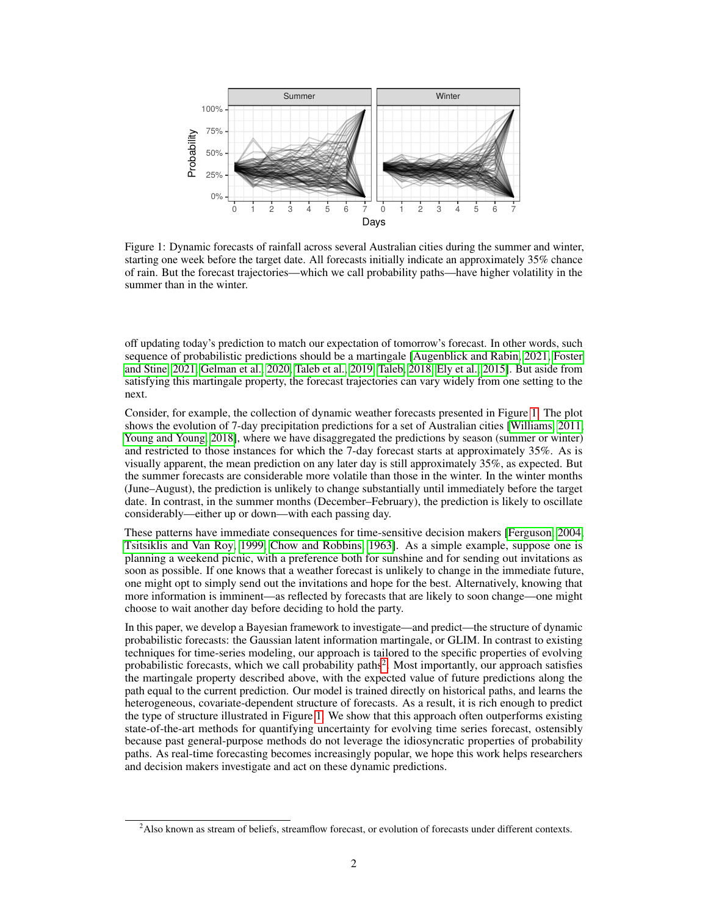<span id="page-1-0"></span>

Figure 1: Dynamic forecasts of rainfall across several Australian cities during the summer and winter, starting one week before the target date. All forecasts initially indicate an approximately 35% chance of rain. But the forecast trajectories—which we call probability paths—have higher volatility in the summer than in the winter.

off updating today's prediction to match our expectation of tomorrow's forecast. In other words, such sequence of probabilistic predictions should be a martingale [\[Augenblick and Rabin, 2021,](#page-10-3) [Foster](#page-10-4) [and Stine, 2021,](#page-10-4) [Gelman et al., 2020,](#page-11-1) [Taleb et al., 2019,](#page-11-5) [Taleb, 2018,](#page-11-6) [Ely et al., 2015\]](#page-10-5). But aside from satisfying this martingale property, the forecast trajectories can vary widely from one setting to the next.

Consider, for example, the collection of dynamic weather forecasts presented in Figure [1.](#page-1-0) The plot shows the evolution of 7-day precipitation predictions for a set of Australian cities [\[Williams, 2011,](#page-12-2) [Young and Young, 2018\]](#page-12-3), where we have disaggregated the predictions by season (summer or winter) and restricted to those instances for which the 7-day forecast starts at approximately 35%. As is visually apparent, the mean prediction on any later day is still approximately 35%, as expected. But the summer forecasts are considerable more volatile than those in the winter. In the winter months (June–August), the prediction is unlikely to change substantially until immediately before the target date. In contrast, in the summer months (December–February), the prediction is likely to oscillate considerably—either up or down—with each passing day.

These patterns have immediate consequences for time-sensitive decision makers [\[Ferguson, 2004,](#page-10-6) [Tsitsiklis and Van Roy, 1999,](#page-12-4) [Chow and Robbins, 1963\]](#page-10-7). As a simple example, suppose one is planning a weekend picnic, with a preference both for sunshine and for sending out invitations as soon as possible. If one knows that a weather forecast is unlikely to change in the immediate future, one might opt to simply send out the invitations and hope for the best. Alternatively, knowing that more information is imminent—as reflected by forecasts that are likely to soon change—one might choose to wait another day before deciding to hold the party.

In this paper, we develop a Bayesian framework to investigate—and predict—the structure of dynamic probabilistic forecasts: the Gaussian latent information martingale, or GLIM. In contrast to existing techniques for time-series modeling, our approach is tailored to the specific properties of evolving probabilistic forecasts, which we call probability paths<sup>[2](#page-1-1)</sup>. Most importantly, our approach satisfies the martingale property described above, with the expected value of future predictions along the path equal to the current prediction. Our model is trained directly on historical paths, and learns the heterogeneous, covariate-dependent structure of forecasts. As a result, it is rich enough to predict the type of structure illustrated in Figure [1.](#page-1-0) We show that this approach often outperforms existing state-of-the-art methods for quantifying uncertainty for evolving time series forecast, ostensibly because past general-purpose methods do not leverage the idiosyncratic properties of probability paths. As real-time forecasting becomes increasingly popular, we hope this work helps researchers and decision makers investigate and act on these dynamic predictions.

<span id="page-1-1"></span> $2A$ lso known as stream of beliefs, streamflow forecast, or evolution of forecasts under different contexts.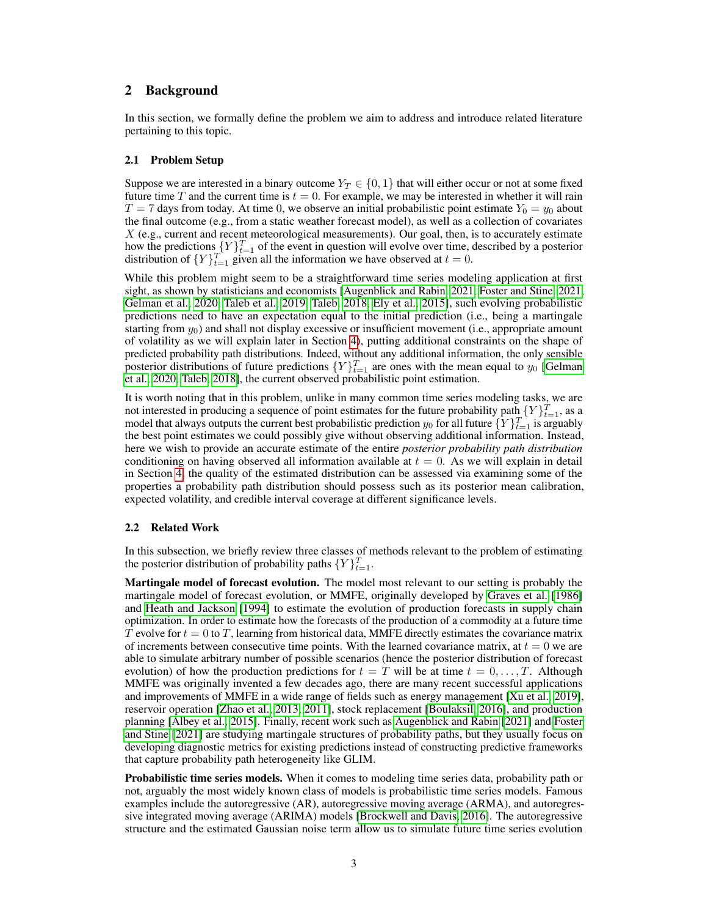# <span id="page-2-0"></span>2 Background

In this section, we formally define the problem we aim to address and introduce related literature pertaining to this topic.

### 2.1 Problem Setup

Suppose we are interested in a binary outcome  $Y_T \in \{0, 1\}$  that will either occur or not at some fixed future time T and the current time is  $t = 0$ . For example, we may be interested in whether it will rain  $T = 7$  days from today. At time 0, we observe an initial probabilistic point estimate  $Y_0 = y_0$  about the final outcome (e.g., from a static weather forecast model), as well as a collection of covariates  $X$  (e.g., current and recent meteorological measurements). Our goal, then, is to accurately estimate how the predictions  ${Y}_{t=1}^{T}$  of the event in question will evolve over time, described by a posterior distribution of  $\{Y\}_{t=1}^T$  given all the information we have observed at  $t=0$ .

While this problem might seem to be a straightforward time series modeling application at first sight, as shown by statisticians and economists [\[Augenblick and Rabin, 2021,](#page-10-3) [Foster and Stine, 2021,](#page-10-4) [Gelman et al., 2020,](#page-11-1) [Taleb et al., 2019,](#page-11-5) [Taleb, 2018,](#page-11-6) [Ely et al., 2015\]](#page-10-5), such evolving probabilistic predictions need to have an expectation equal to the initial prediction (i.e., being a martingale starting from  $y_0$ ) and shall not display excessive or insufficient movement (i.e., appropriate amount of volatility as we will explain later in Section [4\)](#page-6-0), putting additional constraints on the shape of predicted probability path distributions. Indeed, without any additional information, the only sensible posterior distributions of future predictions  $\{Y\}_{t=1}^T$  are ones with the mean equal to  $y_0$  [\[Gelman](#page-11-1) [et al., 2020,](#page-11-1) [Taleb, 2018\]](#page-11-6), the current observed probabilistic point estimation.

It is worth noting that in this problem, unlike in many common time series modeling tasks, we are not interested in producing a sequence of point estimates for the future probability path  ${Y}^T_{t=1}$ , as a model that always outputs the current best probabilistic prediction  $y_0$  for all future  $\{Y\}_{t=1}^T$  is arguably the best point estimates we could possibly give without observing additional information. Instead, here we wish to provide an accurate estimate of the entire *posterior probability path distribution* conditioning on having observed all information available at  $t = 0$ . As we will explain in detail in Section [4,](#page-6-0) the quality of the estimated distribution can be assessed via examining some of the properties a probability path distribution should possess such as its posterior mean calibration, expected volatility, and credible interval coverage at different significance levels.

## 2.2 Related Work

In this subsection, we briefly review three classes of methods relevant to the problem of estimating the posterior distribution of probability paths  $\{Y\}_{t=1}^T$ .

Martingale model of forecast evolution. The model most relevant to our setting is probably the martingale model of forecast evolution, or MMFE, originally developed by [Graves et al.](#page-11-7) [\[1986\]](#page-11-7) and [Heath and Jackson](#page-11-8) [\[1994\]](#page-11-8) to estimate the evolution of production forecasts in supply chain optimization. In order to estimate how the forecasts of the production of a commodity at a future time T evolve for  $t = 0$  to T, learning from historical data, MMFE directly estimates the covariance matrix of increments between consecutive time points. With the learned covariance matrix, at  $t = 0$  we are able to simulate arbitrary number of possible scenarios (hence the posterior distribution of forecast evolution) of how the production predictions for  $t = T$  will be at time  $t = 0, \ldots, T$ . Although MMFE was originally invented a few decades ago, there are many recent successful applications and improvements of MMFE in a wide range of fields such as energy management [\[Xu et al., 2019\]](#page-12-5), reservoir operation [\[Zhao et al., 2013,](#page-12-6) [2011\]](#page-12-7), stock replacement [\[Boulaksil, 2016\]](#page-10-8), and production planning [\[Albey et al., 2015\]](#page-10-9). Finally, recent work such as [Augenblick and Rabin](#page-10-3) [\[2021\]](#page-10-3) and [Foster](#page-10-4) [and Stine](#page-10-4) [\[2021\]](#page-10-4) are studying martingale structures of probability paths, but they usually focus on developing diagnostic metrics for existing predictions instead of constructing predictive frameworks that capture probability path heterogeneity like GLIM.

**Probabilistic time series models.** When it comes to modeling time series data, probability path or not, arguably the most widely known class of models is probabilistic time series models. Famous examples include the autoregressive (AR), autoregressive moving average (ARMA), and autoregressive integrated moving average (ARIMA) models [\[Brockwell and Davis, 2016\]](#page-10-10). The autoregressive structure and the estimated Gaussian noise term allow us to simulate future time series evolution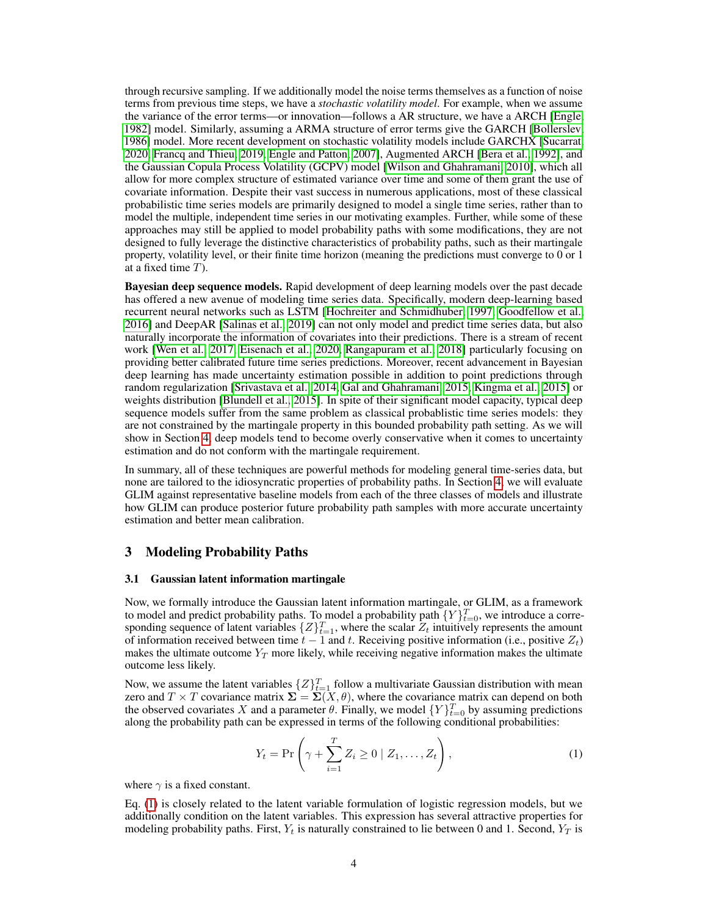through recursive sampling. If we additionally model the noise terms themselves as a function of noise terms from previous time steps, we have a *stochastic volatility model*. For example, when we assume the variance of the error terms—or innovation—follows a AR structure, we have a ARCH [\[Engle,](#page-10-11) [1982\]](#page-10-11) model. Similarly, assuming a ARMA structure of error terms give the GARCH [\[Bollerslev,](#page-10-12) [1986\]](#page-10-12) model. More recent development on stochastic volatility models include GARCHX [\[Sucarrat,](#page-11-9) [2020,](#page-11-9) [Francq and Thieu, 2019,](#page-10-13) [Engle and Patton, 2007\]](#page-10-14), Augmented ARCH [\[Bera et al., 1992\]](#page-10-15), and the Gaussian Copula Process Volatility (GCPV) model [\[Wilson and Ghahramani, 2010\]](#page-12-8), which all allow for more complex structure of estimated variance over time and some of them grant the use of covariate information. Despite their vast success in numerous applications, most of these classical probabilistic time series models are primarily designed to model a single time series, rather than to model the multiple, independent time series in our motivating examples. Further, while some of these approaches may still be applied to model probability paths with some modifications, they are not designed to fully leverage the distinctive characteristics of probability paths, such as their martingale property, volatility level, or their finite time horizon (meaning the predictions must converge to 0 or 1 at a fixed time T).

Bayesian deep sequence models. Rapid development of deep learning models over the past decade has offered a new avenue of modeling time series data. Specifically, modern deep-learning based recurrent neural networks such as LSTM [\[Hochreiter and Schmidhuber, 1997,](#page-11-10) [Goodfellow et al.,](#page-11-11) [2016\]](#page-11-11) and DeepAR [\[Salinas et al., 2019\]](#page-11-12) can not only model and predict time series data, but also naturally incorporate the information of covariates into their predictions. There is a stream of recent work [\[Wen et al., 2017,](#page-12-9) [Eisenach et al., 2020,](#page-10-16) [Rangapuram et al., 2018\]](#page-11-13) particularly focusing on providing better calibrated future time series predictions. Moreover, recent advancement in Bayesian deep learning has made uncertainty estimation possible in addition to point predictions through random regularization [\[Srivastava et al., 2014,](#page-11-14) [Gal and Ghahramani, 2015,](#page-10-17) [Kingma et al., 2015\]](#page-11-15) or weights distribution [\[Blundell et al., 2015\]](#page-10-18). In spite of their significant model capacity, typical deep sequence models suffer from the same problem as classical probablistic time series models: they are not constrained by the martingale property in this bounded probability path setting. As we will show in Section [4,](#page-6-0) deep models tend to become overly conservative when it comes to uncertainty estimation and do not conform with the martingale requirement.

In summary, all of these techniques are powerful methods for modeling general time-series data, but none are tailored to the idiosyncratic properties of probability paths. In Section [4,](#page-6-0) we will evaluate GLIM against representative baseline models from each of the three classes of models and illustrate how GLIM can produce posterior future probability path samples with more accurate uncertainty estimation and better mean calibration.

## 3 Modeling Probability Paths

#### 3.1 Gaussian latent information martingale

Now, we formally introduce the Gaussian latent information martingale, or GLIM, as a framework to model and predict probability paths. To model a probability path  $\{Y\}_{t=0}^T$ , we introduce a corresponding sequence of latent variables  $\{Z\}_{t=1}^T$ , where the scalar  $Z_t$  intuitively represents the amount of information received between time  $t - 1$  and t. Receiving positive information (i.e., positive  $Z_t$ ) makes the ultimate outcome  $Y_T$  more likely, while receiving negative information makes the ultimate outcome less likely.

Now, we assume the latent variables  $\{Z\}_{t=1}^T$  follow a multivariate Gaussian distribution with mean zero and  $T \times T$  covariance matrix  $\Sigma = \Sigma(X, \theta)$ , where the covariance matrix can depend on both the observed covariates X and a parameter  $\theta$ . Finally, we model  $\{Y\}_{t=0}^T$  by assuming predictions along the probability path can be expressed in terms of the following conditional probabilities:

<span id="page-3-0"></span>
$$
Y_t = \Pr\left(\gamma + \sum_{i=1}^T Z_i \ge 0 \mid Z_1, \dots, Z_t\right),\tag{1}
$$

where  $\gamma$  is a fixed constant.

Eq. [\(1\)](#page-3-0) is closely related to the latent variable formulation of logistic regression models, but we additionally condition on the latent variables. This expression has several attractive properties for modeling probability paths. First,  $Y_t$  is naturally constrained to lie between 0 and 1. Second,  $Y_T$  is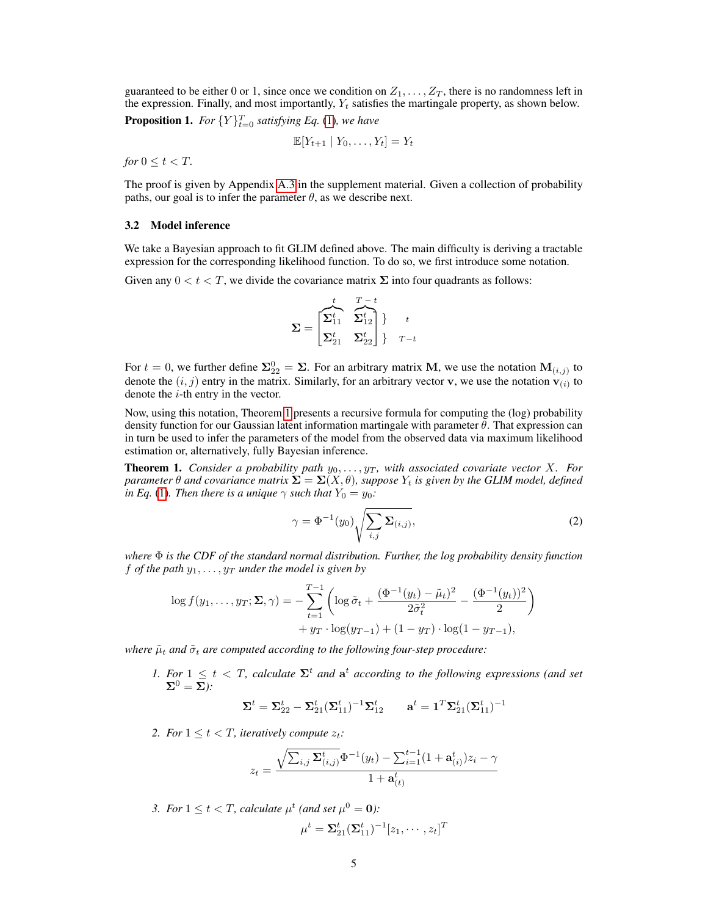guaranteed to be either 0 or 1, since once we condition on  $Z_1, \ldots, Z_T$ , there is no randomness left in the expression. Finally, and most importantly,  $Y_t$  satisfies the martingale property, as shown below.

**Proposition 1.** For  $\{Y\}_{t=0}^T$  satisfying Eq. [\(1\)](#page-3-0), we have

$$
\mathbb{E}[Y_{t+1} | Y_0, \dots, Y_t] = Y_t
$$

*for*  $0 \leq t \leq T$ *.* 

The proof is given by Appendix [A.3](#page--1-0) in the supplement material. Given a collection of probability paths, our goal is to infer the parameter  $\theta$ , as we describe next.

#### 3.2 Model inference

We take a Bayesian approach to fit GLIM defined above. The main difficulty is deriving a tractable expression for the corresponding likelihood function. To do so, we first introduce some notation.

Given any  $0 < t < T$ , we divide the covariance matrix  $\Sigma$  into four quadrants as follows:

$$
\mathbf{\Sigma} = \begin{bmatrix} t & T-t \\ \mathbf{\Sigma}_{11}^t & \mathbf{\widehat{\Sigma}}_{12}^t \\ \mathbf{\Sigma}_{21}^t & \mathbf{\Sigma}_{22}^t \end{bmatrix} \begin{matrix} t \\ t \\ T-t \end{matrix}
$$

For  $t = 0$ , we further define  $\Sigma_{22}^0 = \Sigma$ . For an arbitrary matrix M, we use the notation  $M_{(i,j)}$  to denote the  $(i, j)$  entry in the matrix. Similarly, for an arbitrary vector v, we use the notation  $v_{(i)}$  to denote the  $i$ -th entry in the vector.

Now, using this notation, Theorem [1](#page-4-0) presents a recursive formula for computing the (log) probability density function for our Gaussian latent information martingale with parameter  $\theta$ . That expression can in turn be used to infer the parameters of the model from the observed data via maximum likelihood estimation or, alternatively, fully Bayesian inference.

<span id="page-4-0"></span>**Theorem 1.** *Consider a probability path*  $y_0, \ldots, y_T$ *, with associated covariate vector* X*. For parameter*  $\theta$  *and covariance matrix*  $\Sigma = \Sigma(X, \theta)$ *, suppose*  $Y_t$  *is given by the GLIM model, defined in Eq.* [\(1\)](#page-3-0). Then there is a unique  $\gamma$  such that  $Y_0 = y_0$ *:* 

$$
\gamma = \Phi^{-1}(y_0) \sqrt{\sum_{i,j} \Sigma_{(i,j)}},\tag{2}
$$

*where*  $\Phi$  *is the CDF of the standard normal distribution. Further, the log probability density function* f *of the path*  $y_1, \ldots, y_T$  *under the model is given by* 

$$
\log f(y_1, \dots, y_T; \Sigma, \gamma) = -\sum_{t=1}^{T-1} \left( \log \tilde{\sigma}_t + \frac{(\Phi^{-1}(y_t) - \tilde{\mu}_t)^2}{2\tilde{\sigma}_t^2} - \frac{(\Phi^{-1}(y_t))^2}{2} \right) + y_T \cdot \log(y_{T-1}) + (1 - y_T) \cdot \log(1 - y_{T-1}),
$$

*where*  $\tilde{\mu}_t$  *and*  $\tilde{\sigma}_t$  *are computed according to the following four-step procedure:* 

*1. For*  $1 \leq t < T$ , calculate  $\Sigma<sup>t</sup>$  and  $\mathbf{a}<sup>t</sup>$  according to the following expressions (and set  $\Sigma^0 = \Sigma$ ):

$$
\boldsymbol{\Sigma}^t = \boldsymbol{\Sigma}^t_{22} - \boldsymbol{\Sigma}^t_{21} (\boldsymbol{\Sigma}^t_{11})^{-1} \boldsymbol{\Sigma}^t_{12} \qquad \mathbf{a}^t = \mathbf{1}^T \boldsymbol{\Sigma}^t_{21} (\boldsymbol{\Sigma}^t_{11})^{-1}
$$

2. For  $1 \le t < T$ , iteratively compute  $z_t$ :

$$
z_t = \frac{\sqrt{\sum_{i,j}\sum_{(i,j)}^{t}\!\Phi^{-1}(y_t) - \sum_{i=1}^{t-1}(1+\mathbf{a}^t_{(i)})z_i - \gamma}}{1+\mathbf{a}^t_{(t)}}
$$

3. For  $1 \leq t < T$ , calculate  $\mu^t$  (and set  $\mu^0 = 0$ ):

$$
\mu^t = \mathbf{\Sigma}_{21}^t (\mathbf{\Sigma}_{11}^t)^{-1} [z_1, \cdots, z_t]^T
$$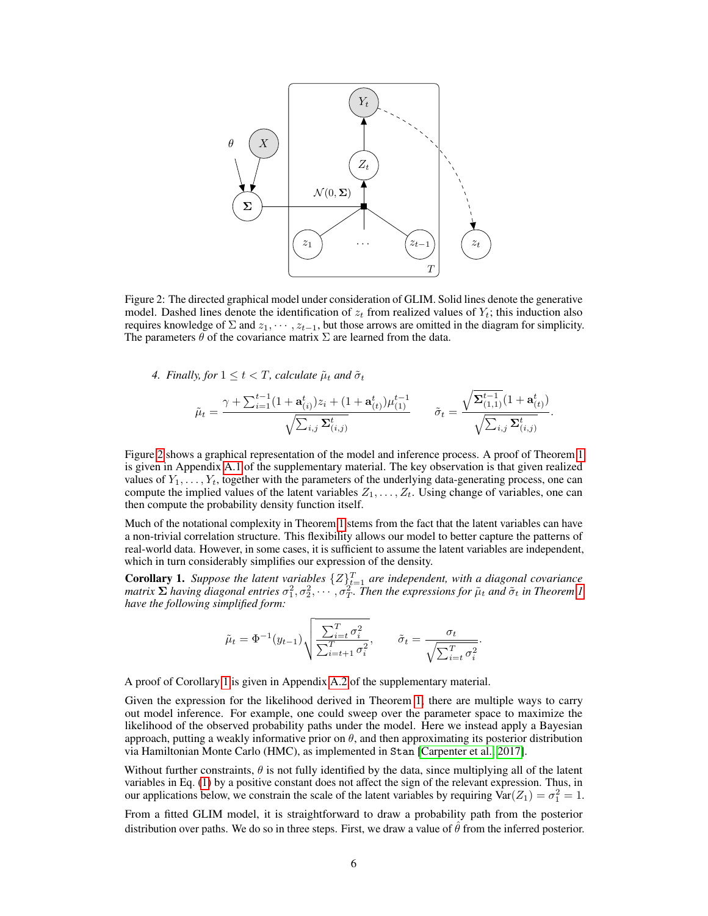<span id="page-5-0"></span>

Figure 2: The directed graphical model under consideration of GLIM. Solid lines denote the generative model. Dashed lines denote the identification of  $z_t$  from realized values of  $Y_t$ ; this induction also requires knowledge of  $\Sigma$  and  $z_1, \dots, z_{t-1}$ , but those arrows are omitted in the diagram for simplicity. The parameters  $\theta$  of the covariance matrix  $\Sigma$  are learned from the data.

*4. Finally, for*  $1 \le t < T$ *, calculate*  $\tilde{\mu}_t$  *and*  $\tilde{\sigma}_t$ 

$$
\tilde{\mu}_t = \frac{\gamma + \sum_{i=1}^{t-1} (1 + \mathbf{a}_{(i)}^t) z_i + (1 + \mathbf{a}_{(t)}^t) \mu_{(1)}^{t-1}}{\sqrt{\sum_{i,j} \Sigma_{(i,j)}^t}} \qquad \tilde{\sigma}_t = \frac{\sqrt{\Sigma_{(1,1)}^{t-1}} (1 + \mathbf{a}_{(t)}^t)}{\sqrt{\sum_{i,j} \Sigma_{(i,j)}^t}}.
$$

Figure [2](#page-5-0) shows a graphical representation of the model and inference process. A proof of Theorem [1](#page-4-0) is given in Appendix [A.1](#page--1-1) of the supplementary material. The key observation is that given realized values of  $Y_1, \ldots, Y_t$ , together with the parameters of the underlying data-generating process, one can compute the implied values of the latent variables  $Z_1, \ldots, Z_t$ . Using change of variables, one can then compute the probability density function itself.

Much of the notational complexity in Theorem [1](#page-4-0) stems from the fact that the latent variables can have a non-trivial correlation structure. This flexibility allows our model to better capture the patterns of real-world data. However, in some cases, it is sufficient to assume the latent variables are independent, which in turn considerably simplifies our expression of the density.

<span id="page-5-1"></span>**Corollary 1.** Suppose the latent variables  $\{Z\}_{t=1}^T$  are independent, with a diagonal covariance matrix  $\Sigma$  having diagonal entries  $\sigma_1^2, \sigma_2^2, \cdots, \sigma_T^2$ . Then the expressions for  $\tilde{\mu}_t$  and  $\tilde{\sigma}_t$  in Theorem [1](#page-4-0) *have the following simplified form:*

$$
\tilde{\mu}_t = \Phi^{-1}(y_{t-1}) \sqrt{\frac{\sum_{i=t}^T \sigma_i^2}{\sum_{i=t+1}^T \sigma_i^2}}, \qquad \tilde{\sigma}_t = \frac{\sigma_t}{\sqrt{\sum_{i=t}^T \sigma_i^2}}.
$$

A proof of Corollary [1](#page-5-1) is given in Appendix [A.2](#page--1-2) of the supplementary material.

Given the expression for the likelihood derived in Theorem [1,](#page-4-0) there are multiple ways to carry out model inference. For example, one could sweep over the parameter space to maximize the likelihood of the observed probability paths under the model. Here we instead apply a Bayesian approach, putting a weakly informative prior on  $\theta$ , and then approximating its posterior distribution via Hamiltonian Monte Carlo (HMC), as implemented in Stan [\[Carpenter et al., 2017\]](#page-10-19).

Without further constraints,  $\theta$  is not fully identified by the data, since multiplying all of the latent variables in Eq. [\(1\)](#page-3-0) by a positive constant does not affect the sign of the relevant expression. Thus, in our applications below, we constrain the scale of the latent variables by requiring  $\text{Var}(Z_1) = \sigma_1^2 = 1$ .

From a fitted GLIM model, it is straightforward to draw a probability path from the posterior distribution over paths. We do so in three steps. First, we draw a value of  $\hat{\theta}$  from the inferred posterior.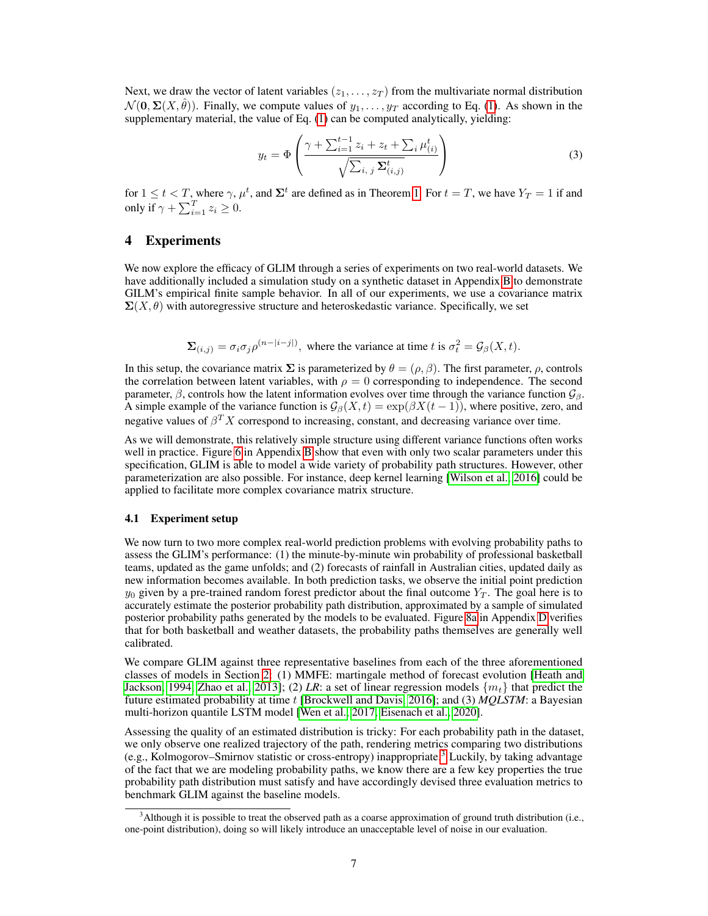Next, we draw the vector of latent variables  $(z_1, \ldots, z_T)$  from the multivariate normal distribution  $\mathcal{N}(\mathbf{0}, \Sigma(X, \hat{\theta}))$ . Finally, we compute values of  $y_1, \ldots, y_T$  according to Eq. [\(1\)](#page-3-0). As shown in the supplementary material, the value of Eq. [\(1\)](#page-3-0) can be computed analytically, yielding:

$$
y_{t} = \Phi\left(\frac{\gamma + \sum_{i=1}^{t-1} z_{i} + z_{t} + \sum_{i} \mu_{(i)}^{t}}{\sqrt{\sum_{i, j} \sum_{(i, j)}^{t}}}\right)
$$
(3)

for  $1 \le t < T$ , where  $\gamma$ ,  $\mu^t$ , and  $\Sigma^t$  are defined as in Theorem [1.](#page-4-0) For  $t = T$ , we have  $Y_T = 1$  if and only if  $\gamma + \sum_{i=1}^{T} z_i \geq 0$ .

# <span id="page-6-0"></span>4 Experiments

We now explore the efficacy of GLIM through a series of experiments on two real-world datasets. We have additionally included a simulation study on a synthetic dataset in Appendix [B](#page--1-3) to demonstrate GILM's empirical finite sample behavior. In all of our experiments, we use a covariance matrix  $\Sigma(X, \theta)$  with autoregressive structure and heteroskedastic variance. Specifically, we set

$$
\Sigma_{(i,j)} = \sigma_i \sigma_j \rho^{(n-|i-j|)},
$$
 where the variance at time t is  $\sigma_t^2 = \mathcal{G}_{\beta}(X, t)$ .

In this setup, the covariance matrix  $\Sigma$  is parameterized by  $\theta = (\rho, \beta)$ . The first parameter,  $\rho$ , controls the correlation between latent variables, with  $\rho = 0$  corresponding to independence. The second parameter,  $\beta$ , controls how the latent information evolves over time through the variance function  $\mathcal{G}_{\beta}$ . A simple example of the variance function is  $\mathcal{G}_{\beta}(X,t) = \exp(\beta X(t-1))$ , where positive, zero, and negative values of  $\beta^T X$  correspond to increasing, constant, and decreasing variance over time.

As we will demonstrate, this relatively simple structure using different variance functions often works well in practice. Figure [6](#page--1-4) in Appendix [B](#page--1-3) show that even with only two scalar parameters under this specification, GLIM is able to model a wide variety of probability path structures. However, other parameterization are also possible. For instance, deep kernel learning [\[Wilson et al., 2016\]](#page-12-10) could be applied to facilitate more complex covariance matrix structure.

## 4.1 Experiment setup

We now turn to two more complex real-world prediction problems with evolving probability paths to assess the GLIM's performance: (1) the minute-by-minute win probability of professional basketball teams, updated as the game unfolds; and (2) forecasts of rainfall in Australian cities, updated daily as new information becomes available. In both prediction tasks, we observe the initial point prediction  $y_0$  given by a pre-trained random forest predictor about the final outcome  $Y_T$ . The goal here is to accurately estimate the posterior probability path distribution, approximated by a sample of simulated posterior probability paths generated by the models to be evaluated. Figure [8a](#page--1-5) in Appendix [D](#page--1-6) verifies that for both basketball and weather datasets, the probability paths themselves are generally well calibrated.

We compare GLIM against three representative baselines from each of the three aforementioned classes of models in Section [2:](#page-2-0) (1) MMFE: martingale method of forecast evolution [\[Heath and](#page-11-8) [Jackson, 1994,](#page-11-8) [Zhao et al., 2013\]](#page-12-6); (2) *LR*: a set of linear regression models  $\{m_t\}$  that predict the future estimated probability at time t [\[Brockwell and Davis, 2016\]](#page-10-10); and (3) *MQLSTM*: a Bayesian multi-horizon quantile LSTM model [\[Wen et al., 2017,](#page-12-9) [Eisenach et al., 2020\]](#page-10-16).

Assessing the quality of an estimated distribution is tricky: For each probability path in the dataset, we only observe one realized trajectory of the path, rendering metrics comparing two distributions (e.g., Kolmogorov–Smirnov statistic or cross-entropy) inappropriate.[3](#page-6-1) Luckily, by taking advantage of the fact that we are modeling probability paths, we know there are a few key properties the true probability path distribution must satisfy and have accordingly devised three evaluation metrics to benchmark GLIM against the baseline models.

<span id="page-6-1"></span><sup>&</sup>lt;sup>3</sup>Although it is possible to treat the observed path as a coarse approximation of ground truth distribution (i.e., one-point distribution), doing so will likely introduce an unacceptable level of noise in our evaluation.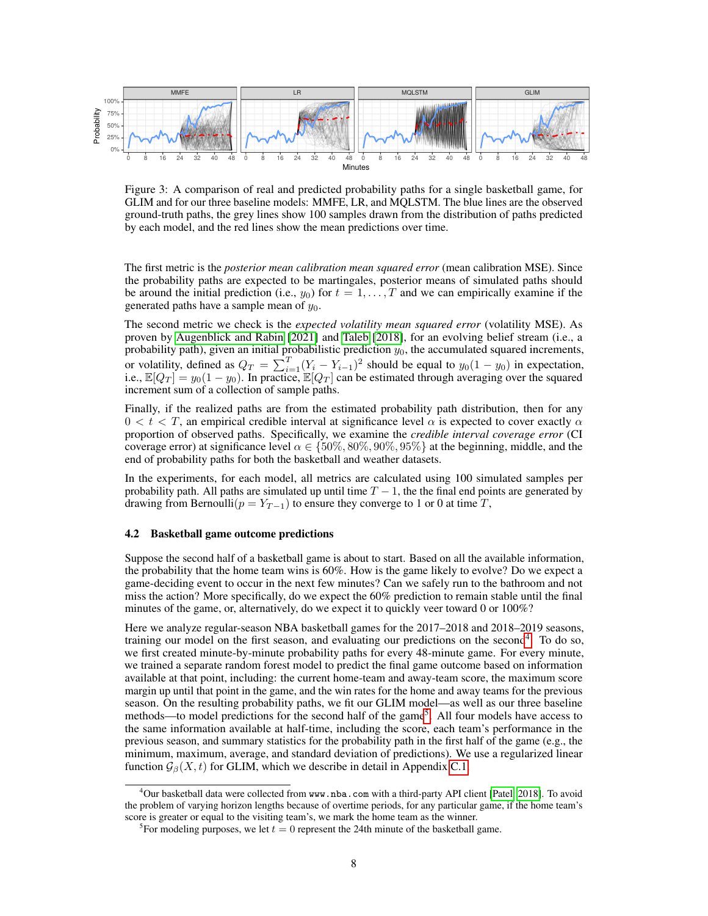<span id="page-7-2"></span>

Figure 3: A comparison of real and predicted probability paths for a single basketball game, for GLIM and for our three baseline models: MMFE, LR, and MQLSTM. The blue lines are the observed ground-truth paths, the grey lines show 100 samples drawn from the distribution of paths predicted by each model, and the red lines show the mean predictions over time.

The first metric is the *posterior mean calibration mean squared error* (mean calibration MSE). Since the probability paths are expected to be martingales, posterior means of simulated paths should be around the initial prediction (i.e.,  $y_0$ ) for  $t = 1, \ldots, T$  and we can empirically examine if the generated paths have a sample mean of  $y_0$ .

The second metric we check is the *expected volatility mean squared error* (volatility MSE). As proven by [Augenblick and Rabin](#page-10-3) [\[2021\]](#page-10-3) and [Taleb](#page-11-6) [\[2018\]](#page-11-6), for an evolving belief stream (i.e., a probability path), given an initial probabilistic prediction  $y_0$ , the accumulated squared increments, or volatility, defined as  $Q_T = \sum_{i=1}^T (Y_i - Y_{i-1})^2$  should be equal to  $y_0(1 - y_0)$  in expectation, i.e.,  $\mathbb{E}[Q_T] = y_0(1 - y_0)$ . In practice,  $\mathbb{E}[Q_T]$  can be estimated through averaging over the squared increment sum of a collection of sample paths.

Finally, if the realized paths are from the estimated probability path distribution, then for any  $0 < t < T$ , an empirical credible interval at significance level  $\alpha$  is expected to cover exactly  $\alpha$ proportion of observed paths. Specifically, we examine the *credible interval coverage error* (CI coverage error) at significance level  $\alpha \in \{50\%, 80\%, 90\%, 95\%\}\$  at the beginning, middle, and the end of probability paths for both the basketball and weather datasets.

In the experiments, for each model, all metrics are calculated using 100 simulated samples per probability path. All paths are simulated up until time  $T - 1$ , the the final end points are generated by drawing from Bernoulli( $p = Y_{T-1}$ ) to ensure they converge to 1 or 0 at time T,

## 4.2 Basketball game outcome predictions

Suppose the second half of a basketball game is about to start. Based on all the available information, the probability that the home team wins is 60%. How is the game likely to evolve? Do we expect a game-deciding event to occur in the next few minutes? Can we safely run to the bathroom and not miss the action? More specifically, do we expect the 60% prediction to remain stable until the final minutes of the game, or, alternatively, do we expect it to quickly veer toward 0 or  $100\%$ ?

Here we analyze regular-season NBA basketball games for the 2017–2018 and 2018–2019 seasons, training our model on the first season, and evaluating our predictions on the second<sup>[4](#page-7-0)</sup>. To do so, we first created minute-by-minute probability paths for every 48-minute game. For every minute, we trained a separate random forest model to predict the final game outcome based on information available at that point, including: the current home-team and away-team score, the maximum score margin up until that point in the game, and the win rates for the home and away teams for the previous season. On the resulting probability paths, we fit our GLIM model—as well as our three baseline methods—to model predictions for the second half of the game<sup>[5](#page-7-1)</sup>. All four models have access to the same information available at half-time, including the score, each team's performance in the previous season, and summary statistics for the probability path in the first half of the game (e.g., the minimum, maximum, average, and standard deviation of predictions). We use a regularized linear function  $\mathcal{G}_{\beta}(X, t)$  for GLIM, which we describe in detail in Appendix [C.1.](#page--1-7)

<span id="page-7-0"></span><sup>&</sup>lt;sup>4</sup>Our basketball data were collected from www.nba.com with a third-party API client [\[Patel, 2018\]](#page-11-16). To avoid the problem of varying horizon lengths because of overtime periods, for any particular game, if the home team's score is greater or equal to the visiting team's, we mark the home team as the winner.

<span id="page-7-1"></span><sup>&</sup>lt;sup>5</sup>For modeling purposes, we let  $t = 0$  represent the 24th minute of the basketball game.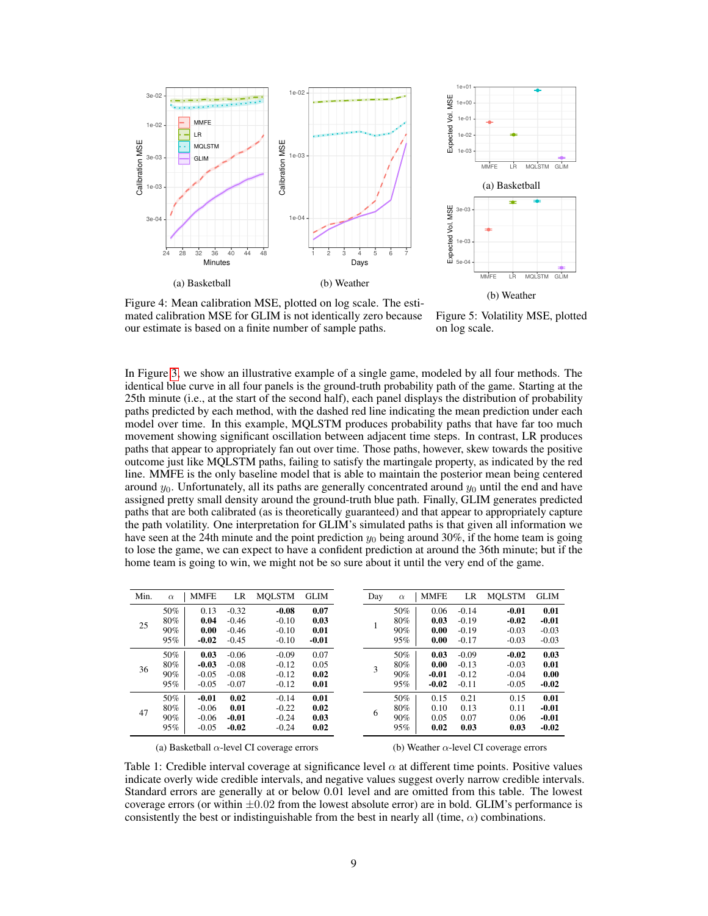<span id="page-8-0"></span>



Figure 4: Mean calibration MSE, plotted on log scale. The estimated calibration MSE for GLIM is not identically zero because our estimate is based on a finite number of sample paths.

Figure 5: Volatility MSE, plotted on log scale.

In Figure [3,](#page-7-2) we show an illustrative example of a single game, modeled by all four methods. The identical blue curve in all four panels is the ground-truth probability path of the game. Starting at the 25th minute (i.e., at the start of the second half), each panel displays the distribution of probability paths predicted by each method, with the dashed red line indicating the mean prediction under each model over time. In this example, MQLSTM produces probability paths that have far too much movement showing significant oscillation between adjacent time steps. In contrast, LR produces paths that appear to appropriately fan out over time. Those paths, however, skew towards the positive outcome just like MQLSTM paths, failing to satisfy the martingale property, as indicated by the red line. MMFE is the only baseline model that is able to maintain the posterior mean being centered around  $y_0$ . Unfortunately, all its paths are generally concentrated around  $y_0$  until the end and have assigned pretty small density around the ground-truth blue path. Finally, GLIM generates predicted paths that are both calibrated (as is theoretically guaranteed) and that appear to appropriately capture the path volatility. One interpretation for GLIM's simulated paths is that given all information we have seen at the 24th minute and the point prediction  $y_0$  being around 30%, if the home team is going to lose the game, we can expect to have a confident prediction at around the 36th minute; but if the home team is going to win, we might not be so sure about it until the very end of the game.

<span id="page-8-1"></span>

| Min. | $\alpha$ | <b>MMFE</b> | LR      | <b>MOLSTM</b> | <b>GLIM</b> |   | Day | $\alpha$ | <b>MMFE</b> | LR      | <b>MOLSTM</b> | <b>GLIM</b> |
|------|----------|-------------|---------|---------------|-------------|---|-----|----------|-------------|---------|---------------|-------------|
| 25   | 50%      | 0.13        | $-0.32$ | $-0.08$       | 0.07        |   |     | 50%      | 0.06        | $-0.14$ | $-0.01$       | 0.01        |
|      | 80%      | 0.04        | $-0.46$ | $-0.10$       | 0.03        |   |     | 80%      | 0.03        | $-0.19$ | $-0.02$       | $-0.01$     |
|      | $90\%$   | 0.00        | $-0.46$ | $-0.10$       | 0.01        |   | 90% | 0.00     | $-0.19$     | $-0.03$ | $-0.03$       |             |
|      | 95%      | $-0.02$     | $-0.45$ | $-0.10$       | $-0.01$     |   | 95% | 0.00     | $-0.17$     | $-0.03$ | $-0.03$       |             |
| 36   | 50%      | 0.03        | $-0.06$ | $-0.09$       | 0.07        |   |     | 50%      | 0.03        | $-0.09$ | $-0.02$       | 0.03        |
|      | 80%      | $-0.03$     | $-0.08$ | $-0.12$       | 0.05        | 3 | 80% | 0.00     | $-0.13$     | $-0.03$ | 0.01          |             |
|      | $90\%$   | $-0.05$     | $-0.08$ | $-0.12$       | 0.02        |   |     | $90\%$   | $-0.01$     | $-0.12$ | $-0.04$       | 0.00        |
|      | 95%      | $-0.05$     | $-0.07$ | $-0.12$       | 0.01        |   | 95% | $-0.02$  | $-0.11$     | $-0.05$ | $-0.02$       |             |
| 47   | 50%      | $-0.01$     | 0.02    | $-0.14$       | 0.01        | 6 | 50% | 0.15     | 0.21        | 0.15    | 0.01          |             |
|      | 80%      | $-0.06$     | 0.01    | $-0.22$       | 0.02        |   | 80% | 0.10     | 0.13        | 0.11    | $-0.01$       |             |
|      | 90%      | $-0.06$     | $-0.01$ | $-0.24$       | 0.03        |   | 90% | 0.05     | 0.07        | 0.06    | $-0.01$       |             |
|      | 95%      | $-0.05$     | $-0.02$ | $-0.24$       | 0.02        |   | 95% | 0.02     | 0.03        | 0.03    | $-0.02$       |             |

(a) Basketball  $\alpha$ -level CI coverage errors

(b) Weather  $\alpha$ -level CI coverage errors

Table 1: Credible interval coverage at significance level  $\alpha$  at different time points. Positive values indicate overly wide credible intervals, and negative values suggest overly narrow credible intervals. Standard errors are generally at or below 0.01 level and are omitted from this table. The lowest coverage errors (or within  $\pm 0.02$  from the lowest absolute error) are in bold. GLIM's performance is consistently the best or indistinguishable from the best in nearly all (time,  $\alpha$ ) combinations.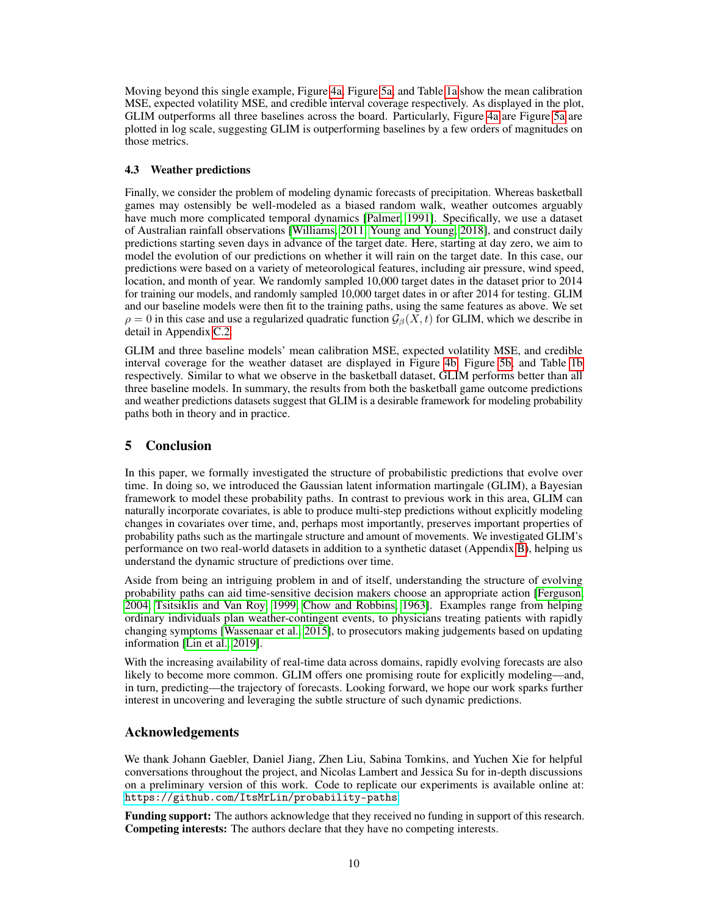Moving beyond this single example, Figure [4a,](#page-8-0) Figure [5a,](#page-8-0) and Table [1a](#page-8-1) show the mean calibration MSE, expected volatility MSE, and credible interval coverage respectively. As displayed in the plot, GLIM outperforms all three baselines across the board. Particularly, Figure [4a](#page-8-0) are Figure [5a](#page-8-0) are plotted in log scale, suggesting GLIM is outperforming baselines by a few orders of magnitudes on those metrics.

## 4.3 Weather predictions

Finally, we consider the problem of modeling dynamic forecasts of precipitation. Whereas basketball games may ostensibly be well-modeled as a biased random walk, weather outcomes arguably have much more complicated temporal dynamics [\[Palmer, 1991\]](#page-11-17). Specifically, we use a dataset of Australian rainfall observations [\[Williams, 2011,](#page-12-2) [Young and Young, 2018\]](#page-12-3), and construct daily predictions starting seven days in advance of the target date. Here, starting at day zero, we aim to model the evolution of our predictions on whether it will rain on the target date. In this case, our predictions were based on a variety of meteorological features, including air pressure, wind speed, location, and month of year. We randomly sampled 10,000 target dates in the dataset prior to 2014 for training our models, and randomly sampled 10,000 target dates in or after 2014 for testing. GLIM and our baseline models were then fit to the training paths, using the same features as above. We set  $\rho = 0$  in this case and use a regularized quadratic function  $\mathcal{G}_{\beta}(X, t)$  for GLIM, which we describe in detail in Appendix [C.2.](#page--1-8)

GLIM and three baseline models' mean calibration MSE, expected volatility MSE, and credible interval coverage for the weather dataset are displayed in Figure [4b,](#page-8-0) Figure [5b,](#page-8-0) and Table [1b](#page-8-1) respectively. Similar to what we observe in the basketball dataset, GLIM performs better than all three baseline models. In summary, the results from both the basketball game outcome predictions and weather predictions datasets suggest that GLIM is a desirable framework for modeling probability paths both in theory and in practice.

# 5 Conclusion

In this paper, we formally investigated the structure of probabilistic predictions that evolve over time. In doing so, we introduced the Gaussian latent information martingale (GLIM), a Bayesian framework to model these probability paths. In contrast to previous work in this area, GLIM can naturally incorporate covariates, is able to produce multi-step predictions without explicitly modeling changes in covariates over time, and, perhaps most importantly, preserves important properties of probability paths such as the martingale structure and amount of movements. We investigated GLIM's performance on two real-world datasets in addition to a synthetic dataset (Appendix [B\)](#page--1-3), helping us understand the dynamic structure of predictions over time.

Aside from being an intriguing problem in and of itself, understanding the structure of evolving probability paths can aid time-sensitive decision makers choose an appropriate action [\[Ferguson,](#page-10-6) [2004,](#page-10-6) [Tsitsiklis and Van Roy, 1999,](#page-12-4) [Chow and Robbins, 1963\]](#page-10-7). Examples range from helping ordinary individuals plan weather-contingent events, to physicians treating patients with rapidly changing symptoms [\[Wassenaar et al., 2015\]](#page-12-11), to prosecutors making judgements based on updating information [\[Lin et al., 2019\]](#page-11-18).

With the increasing availability of real-time data across domains, rapidly evolving forecasts are also likely to become more common. GLIM offers one promising route for explicitly modeling—and, in turn, predicting—the trajectory of forecasts. Looking forward, we hope our work sparks further interest in uncovering and leveraging the subtle structure of such dynamic predictions.

# Acknowledgements

We thank Johann Gaebler, Daniel Jiang, Zhen Liu, Sabina Tomkins, and Yuchen Xie for helpful conversations throughout the project, and Nicolas Lambert and Jessica Su for in-depth discussions on a preliminary version of this work. Code to replicate our experiments is available online at: <https://github.com/ItsMrLin/probability-paths>.

Funding support: The authors acknowledge that they received no funding in support of this research. Competing interests: The authors declare that they have no competing interests.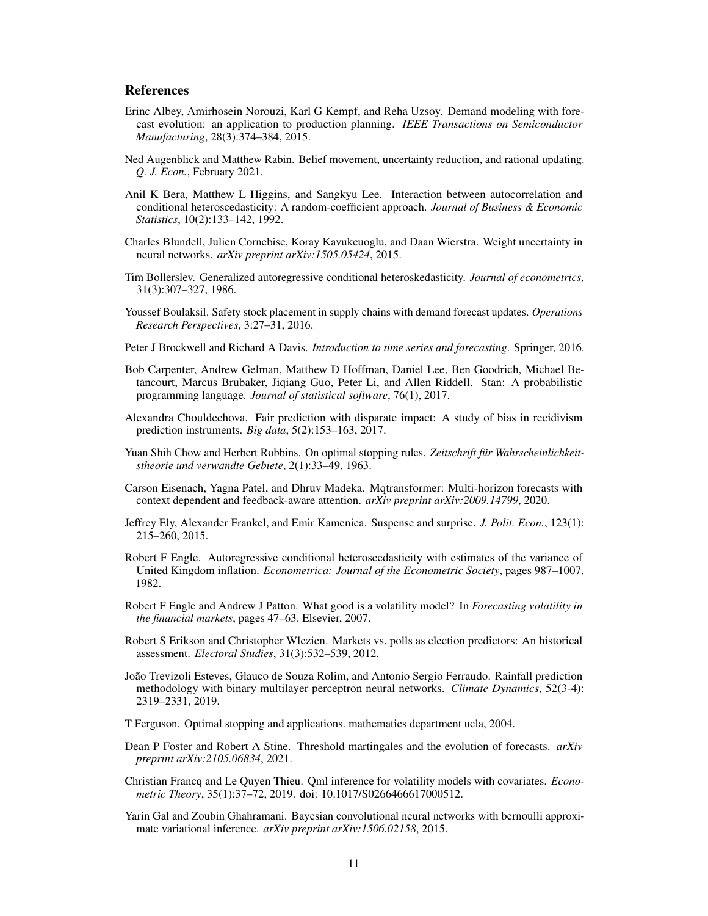## References

- <span id="page-10-9"></span>Erinc Albey, Amirhosein Norouzi, Karl G Kempf, and Reha Uzsoy. Demand modeling with forecast evolution: an application to production planning. *IEEE Transactions on Semiconductor Manufacturing*, 28(3):374–384, 2015.
- <span id="page-10-3"></span>Ned Augenblick and Matthew Rabin. Belief movement, uncertainty reduction, and rational updating. *Q. J. Econ.*, February 2021.
- <span id="page-10-15"></span>Anil K Bera, Matthew L Higgins, and Sangkyu Lee. Interaction between autocorrelation and conditional heteroscedasticity: A random-coefficient approach. *Journal of Business & Economic Statistics*, 10(2):133–142, 1992.
- <span id="page-10-18"></span>Charles Blundell, Julien Cornebise, Koray Kavukcuoglu, and Daan Wierstra. Weight uncertainty in neural networks. *arXiv preprint arXiv:1505.05424*, 2015.
- <span id="page-10-12"></span>Tim Bollerslev. Generalized autoregressive conditional heteroskedasticity. *Journal of econometrics*, 31(3):307–327, 1986.
- <span id="page-10-8"></span>Youssef Boulaksil. Safety stock placement in supply chains with demand forecast updates. *Operations Research Perspectives*, 3:27–31, 2016.
- <span id="page-10-10"></span>Peter J Brockwell and Richard A Davis. *Introduction to time series and forecasting*. Springer, 2016.
- <span id="page-10-19"></span>Bob Carpenter, Andrew Gelman, Matthew D Hoffman, Daniel Lee, Ben Goodrich, Michael Betancourt, Marcus Brubaker, Jiqiang Guo, Peter Li, and Allen Riddell. Stan: A probabilistic programming language. *Journal of statistical software*, 76(1), 2017.
- <span id="page-10-2"></span>Alexandra Chouldechova. Fair prediction with disparate impact: A study of bias in recidivism prediction instruments. *Big data*, 5(2):153–163, 2017.
- <span id="page-10-7"></span>Yuan Shih Chow and Herbert Robbins. On optimal stopping rules. *Zeitschrift für Wahrscheinlichkeitstheorie und verwandte Gebiete*, 2(1):33–49, 1963.
- <span id="page-10-16"></span>Carson Eisenach, Yagna Patel, and Dhruv Madeka. Mqtransformer: Multi-horizon forecasts with context dependent and feedback-aware attention. *arXiv preprint arXiv:2009.14799*, 2020.
- <span id="page-10-5"></span>Jeffrey Ely, Alexander Frankel, and Emir Kamenica. Suspense and surprise. *J. Polit. Econ.*, 123(1): 215–260, 2015.
- <span id="page-10-11"></span>Robert F Engle. Autoregressive conditional heteroscedasticity with estimates of the variance of United Kingdom inflation. *Econometrica: Journal of the Econometric Society*, pages 987–1007, 1982.
- <span id="page-10-14"></span>Robert F Engle and Andrew J Patton. What good is a volatility model? In *Forecasting volatility in the financial markets*, pages 47–63. Elsevier, 2007.
- <span id="page-10-0"></span>Robert S Erikson and Christopher Wlezien. Markets vs. polls as election predictors: An historical assessment. *Electoral Studies*, 31(3):532–539, 2012.
- <span id="page-10-1"></span>João Trevizoli Esteves, Glauco de Souza Rolim, and Antonio Sergio Ferraudo. Rainfall prediction methodology with binary multilayer perceptron neural networks. *Climate Dynamics*, 52(3-4): 2319–2331, 2019.
- <span id="page-10-6"></span>T Ferguson. Optimal stopping and applications. mathematics department ucla, 2004.
- <span id="page-10-4"></span>Dean P Foster and Robert A Stine. Threshold martingales and the evolution of forecasts. *arXiv preprint arXiv:2105.06834*, 2021.
- <span id="page-10-13"></span>Christian Francq and Le Quyen Thieu. Qml inference for volatility models with covariates. *Econometric Theory*, 35(1):37–72, 2019. doi: 10.1017/S0266466617000512.
- <span id="page-10-17"></span>Yarin Gal and Zoubin Ghahramani. Bayesian convolutional neural networks with bernoulli approximate variational inference. *arXiv preprint arXiv:1506.02158*, 2015.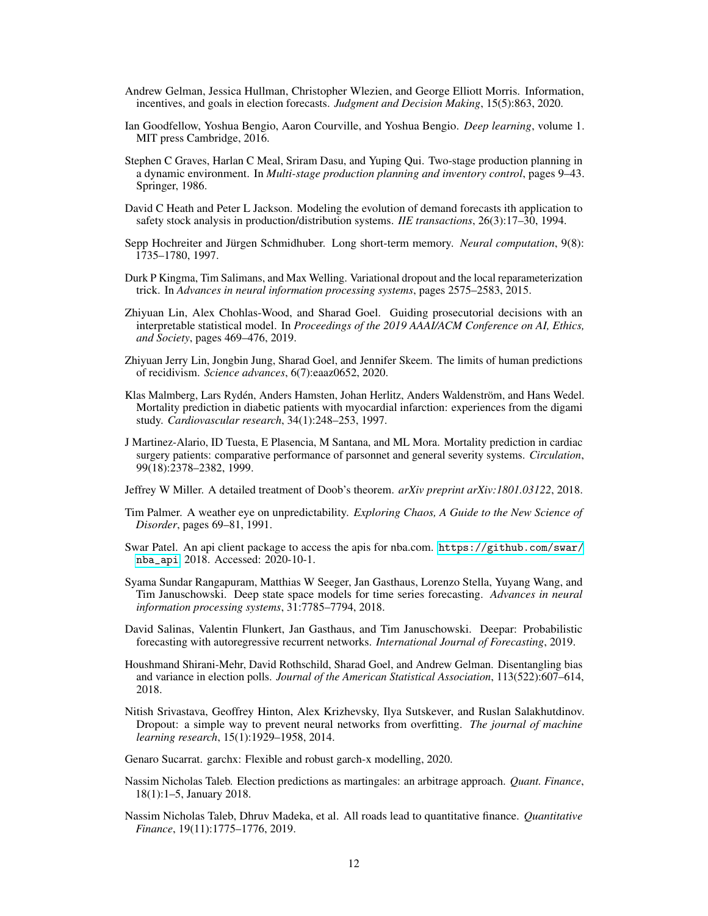- <span id="page-11-1"></span>Andrew Gelman, Jessica Hullman, Christopher Wlezien, and George Elliott Morris. Information, incentives, and goals in election forecasts. *Judgment and Decision Making*, 15(5):863, 2020.
- <span id="page-11-11"></span>Ian Goodfellow, Yoshua Bengio, Aaron Courville, and Yoshua Bengio. *Deep learning*, volume 1. MIT press Cambridge, 2016.
- <span id="page-11-7"></span>Stephen C Graves, Harlan C Meal, Sriram Dasu, and Yuping Qui. Two-stage production planning in a dynamic environment. In *Multi-stage production planning and inventory control*, pages 9–43. Springer, 1986.
- <span id="page-11-8"></span>David C Heath and Peter L Jackson. Modeling the evolution of demand forecasts ith application to safety stock analysis in production/distribution systems. *IIE transactions*, 26(3):17–30, 1994.
- <span id="page-11-10"></span>Sepp Hochreiter and Jürgen Schmidhuber. Long short-term memory. *Neural computation*, 9(8): 1735–1780, 1997.
- <span id="page-11-15"></span>Durk P Kingma, Tim Salimans, and Max Welling. Variational dropout and the local reparameterization trick. In *Advances in neural information processing systems*, pages 2575–2583, 2015.
- <span id="page-11-18"></span>Zhiyuan Lin, Alex Chohlas-Wood, and Sharad Goel. Guiding prosecutorial decisions with an interpretable statistical model. In *Proceedings of the 2019 AAAI/ACM Conference on AI, Ethics, and Society*, pages 469–476, 2019.
- <span id="page-11-4"></span>Zhiyuan Jerry Lin, Jongbin Jung, Sharad Goel, and Jennifer Skeem. The limits of human predictions of recidivism. *Science advances*, 6(7):eaaz0652, 2020.
- <span id="page-11-2"></span>Klas Malmberg, Lars Rydén, Anders Hamsten, Johan Herlitz, Anders Waldenström, and Hans Wedel. Mortality prediction in diabetic patients with myocardial infarction: experiences from the digami study. *Cardiovascular research*, 34(1):248–253, 1997.
- <span id="page-11-3"></span>J Martinez-Alario, ID Tuesta, E Plasencia, M Santana, and ML Mora. Mortality prediction in cardiac surgery patients: comparative performance of parsonnet and general severity systems. *Circulation*, 99(18):2378–2382, 1999.
- Jeffrey W Miller. A detailed treatment of Doob's theorem. *arXiv preprint arXiv:1801.03122*, 2018.
- <span id="page-11-17"></span>Tim Palmer. A weather eye on unpredictability. *Exploring Chaos, A Guide to the New Science of Disorder*, pages 69–81, 1991.
- <span id="page-11-16"></span>Swar Patel. An api client package to access the apis for nba.com. [https://github.com/swar/](https://github.com/swar/nba_api) [nba\\_api](https://github.com/swar/nba_api), 2018. Accessed: 2020-10-1.
- <span id="page-11-13"></span>Syama Sundar Rangapuram, Matthias W Seeger, Jan Gasthaus, Lorenzo Stella, Yuyang Wang, and Tim Januschowski. Deep state space models for time series forecasting. *Advances in neural information processing systems*, 31:7785–7794, 2018.
- <span id="page-11-12"></span>David Salinas, Valentin Flunkert, Jan Gasthaus, and Tim Januschowski. Deepar: Probabilistic forecasting with autoregressive recurrent networks. *International Journal of Forecasting*, 2019.
- <span id="page-11-0"></span>Houshmand Shirani-Mehr, David Rothschild, Sharad Goel, and Andrew Gelman. Disentangling bias and variance in election polls. *Journal of the American Statistical Association*, 113(522):607–614, 2018.
- <span id="page-11-14"></span>Nitish Srivastava, Geoffrey Hinton, Alex Krizhevsky, Ilya Sutskever, and Ruslan Salakhutdinov. Dropout: a simple way to prevent neural networks from overfitting. *The journal of machine learning research*, 15(1):1929–1958, 2014.
- <span id="page-11-9"></span>Genaro Sucarrat. garchx: Flexible and robust garch-x modelling, 2020.
- <span id="page-11-6"></span>Nassim Nicholas Taleb. Election predictions as martingales: an arbitrage approach. *Quant. Finance*, 18(1):1–5, January 2018.
- <span id="page-11-5"></span>Nassim Nicholas Taleb, Dhruv Madeka, et al. All roads lead to quantitative finance. *Quantitative Finance*, 19(11):1775–1776, 2019.